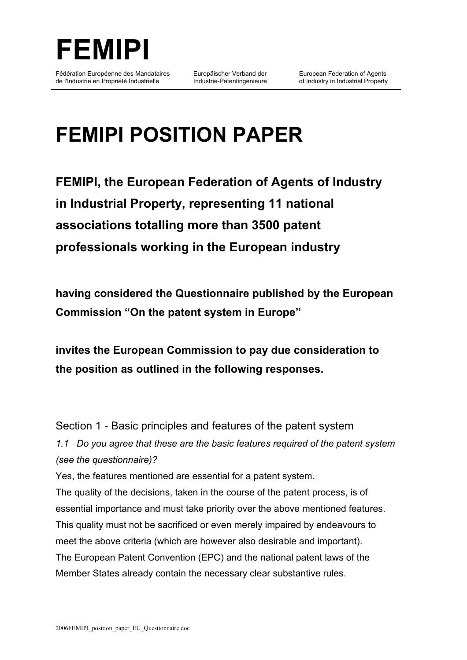

Europäischer Verband der Industrie-Patentingenieure

# **FEMIPI POSITION PAPER**

**FEMIPI, the European Federation of Agents of Industry in Industrial Property, representing 11 national associations totalling more than 3500 patent professionals working in the European industry**

**having considered the Questionnaire published by the European Commission "On the patent system in Europe"**

**invites the European Commission to pay due consideration to the position as outlined in the following responses.**

Section 1 - Basic principles and features of the patent system *1.1 Do you agree that these are the basic features required of the patent system (see the questionnaire)?*

Yes, the features mentioned are essential for a patent system. The quality of the decisions, taken in the course of the patent process, is of essential importance and must take priority over the above mentioned features. This quality must not be sacrificed or even merely impaired by endeavours to meet the above criteria (which are however also desirable and important). The European Patent Convention (EPC) and the national patent laws of the Member States already contain the necessary clear substantive rules.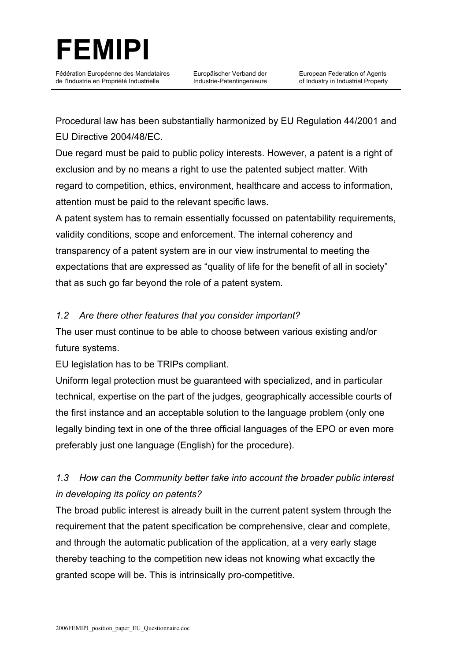

Europäischer Verband der Industrie-Patentingenieure

Procedural law has been substantially harmonized by EU Regulation 44/2001 and EU Directive 2004/48/EC.

Due regard must be paid to public policy interests. However, a patent is a right of exclusion and by no means a right to use the patented subject matter. With regard to competition, ethics, environment, healthcare and access to information, attention must be paid to the relevant specific laws.

A patent system has to remain essentially focussed on patentability requirements, validity conditions, scope and enforcement. The internal coherency and transparency of a patent system are in our view instrumental to meeting the expectations that are expressed as "quality of life for the benefit of all in society" that as such go far beyond the role of a patent system.

#### *1.2 Are there other features that you consider important?*

The user must continue to be able to choose between various existing and/or future systems.

EU legislation has to be TRIPs compliant.

Uniform legal protection must be guaranteed with specialized, and in particular technical, expertise on the part of the judges, geographically accessible courts of the first instance and an acceptable solution to the language problem (only one legally binding text in one of the three official languages of the EPO or even more preferably just one language (English) for the procedure).

#### *1.3 How can the Community better take into account the broader public interest in developing its policy on patents?*

The broad public interest is already built in the current patent system through the requirement that the patent specification be comprehensive, clear and complete, and through the automatic publication of the application, at a very early stage thereby teaching to the competition new ideas not knowing what excactly the granted scope will be. This is intrinsically pro-competitive.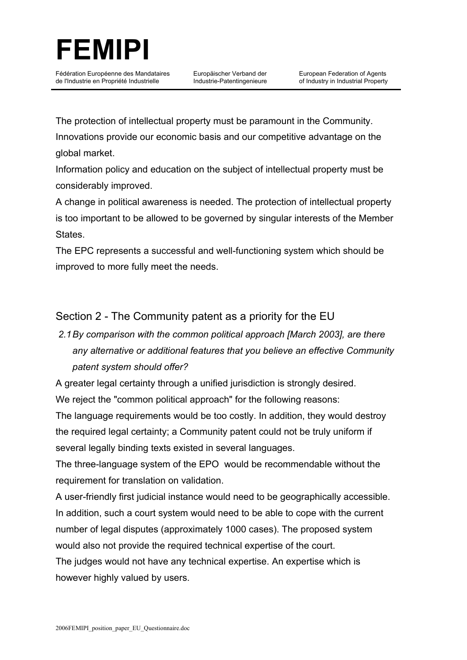

Europäischer Verband der Industrie-Patentingenieure

The protection of intellectual property must be paramount in the Community. Innovations provide our economic basis and our competitive advantage on the global market.

Information policy and education on the subject of intellectual property must be considerably improved.

A change in political awareness is needed. The protection of intellectual property is too important to be allowed to be governed by singular interests of the Member States.

The EPC represents a successful and well-functioning system which should be improved to more fully meet the needs.

#### Section 2 - The Community patent as a priority for the EU

## *2.1By comparison with the common political approach [March 2003], are there any alternative or additional features that you believe an effective Community patent system should offer?*

A greater legal certainty through a unified jurisdiction is strongly desired. We reject the "common political approach" for the following reasons:

The language requirements would be too costly. In addition, they would destroy the required legal certainty; a Community patent could not be truly uniform if several legally binding texts existed in several languages.

The three-language system of the EPO would be recommendable without the requirement for translation on validation.

A user-friendly first judicial instance would need to be geographically accessible. In addition, such a court system would need to be able to cope with the current number of legal disputes (approximately 1000 cases). The proposed system would also not provide the required technical expertise of the court.

The judges would not have any technical expertise. An expertise which is however highly valued by users.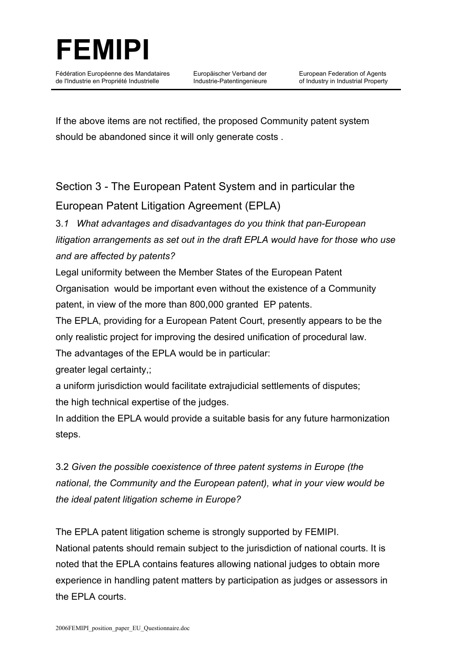

Europäischer Verband der Industrie-Patentingenieure

If the above items are not rectified, the proposed Community patent system should be abandoned since it will only generate costs .

## Section 3 - The European Patent System and in particular the European Patent Litigation Agreement (EPLA)

### 3.*1 What advantages and disadvantages do you think that pan-European litigation arrangements as set out in the draft EPLA would have for those who use and are affected by patents?*

Legal uniformity between the Member States of the European Patent Organisation would be important even without the existence of a Community patent, in view of the more than 800,000 granted EP patents.

The EPLA, providing for a European Patent Court, presently appears to be the only realistic project for improving the desired unification of procedural law.

The advantages of the EPLA would be in particular:

greater legal certainty,;

a uniform jurisdiction would facilitate extrajudicial settlements of disputes; the high technical expertise of the judges.

In addition the EPLA would provide a suitable basis for any future harmonization steps.

3.2 *Given the possible coexistence of three patent systems in Europe (the national, the Community and the European patent), what in your view would be the ideal patent litigation scheme in Europe?*

The EPLA patent litigation scheme is strongly supported by FEMIPI. National patents should remain subject to the jurisdiction of national courts. It is noted that the EPLA contains features allowing national judges to obtain more experience in handling patent matters by participation as judges or assessors in the EPLA courts.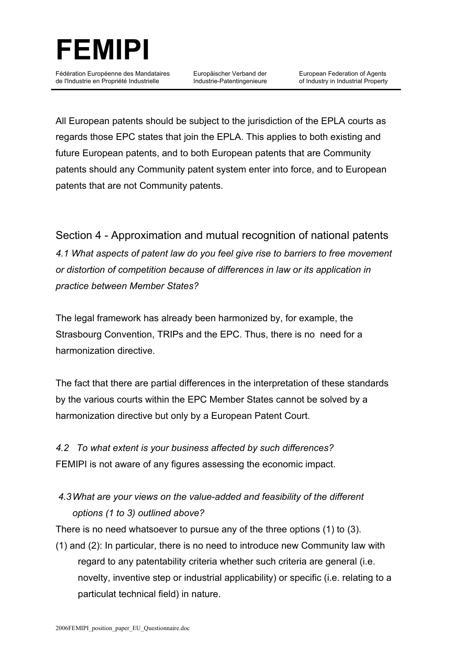

Europäischer Verband der Industrie-Patentingenieure

All European patents should be subject to the jurisdiction of the EPLA courts as regards those EPC states that join the EPLA. This applies to both existing and future European patents, and to both European patents that are Community patents should any Community patent system enter into force, and to European patents that are not Community patents.

Section 4 - Approximation and mutual recognition of national patents *4.1 What aspects of patent law do you feel give rise to barriers to free movement or distortion of competition because of differences in law or its application in practice between Member States?*

The legal framework has already been harmonized by, for example, the Strasbourg Convention, TRIPs and the EPC. Thus, there is no need for a harmonization directive.

The fact that there are partial differences in the interpretation of these standards by the various courts within the EPC Member States cannot be solved by a harmonization directive but only by a European Patent Court.

*4.2 To what extent is your business affected by such differences?* FEMIPI is not aware of any figures assessing the economic impact.

#### *4.3What are your views on the value-added and feasibility of the different options (1 to 3) outlined above?*

There is no need whatsoever to pursue any of the three options (1) to (3).

(1) and (2): In particular, there is no need to introduce new Community law with regard to any patentability criteria whether such criteria are general (i.e. novelty, inventive step or industrial applicability) or specific (i.e. relating to a particulat technical field) in nature.